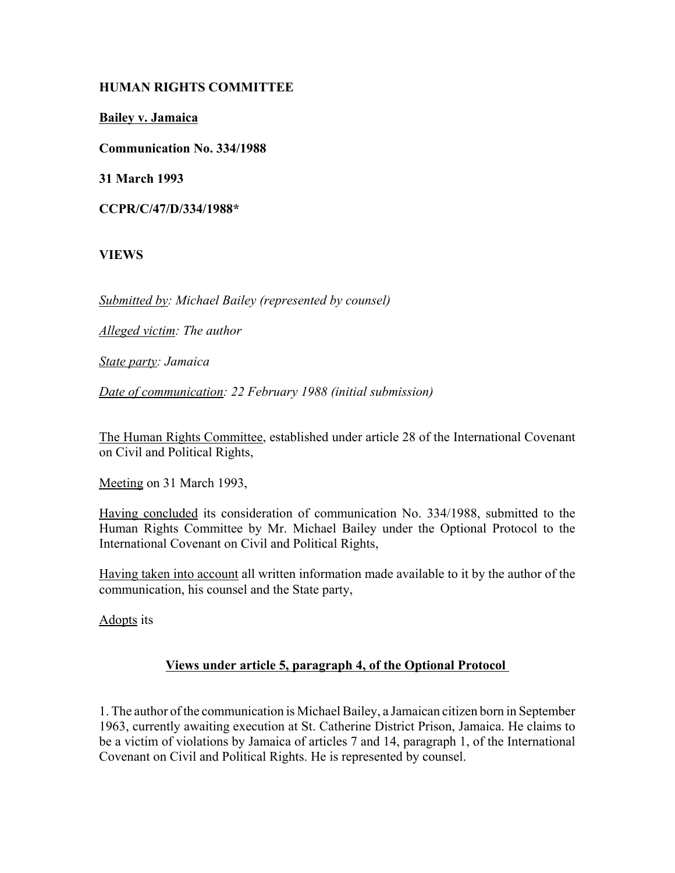# **HUMAN RIGHTS COMMITTEE**

**Bailey v. Jamaica**

**Communication No. 334/1988**

**31 March 1993**

**CCPR/C/47/D/334/1988\***

**VIEWS**

*Submitted by: Michael Bailey (represented by counsel)* 

*Alleged victim: The author* 

*State party: Jamaica* 

*Date of communication: 22 February 1988 (initial submission)* 

The Human Rights Committee, established under article 28 of the International Covenant on Civil and Political Rights,

Meeting on 31 March 1993,

Having concluded its consideration of communication No. 334/1988, submitted to the Human Rights Committee by Mr. Michael Bailey under the Optional Protocol to the International Covenant on Civil and Political Rights,

Having taken into account all written information made available to it by the author of the communication, his counsel and the State party,

Adopts its

# **Views under article 5, paragraph 4, of the Optional Protocol**

1. The author of the communication is Michael Bailey, a Jamaican citizen born in September 1963, currently awaiting execution at St. Catherine District Prison, Jamaica. He claims to be a victim of violations by Jamaica of articles 7 and 14, paragraph 1, of the International Covenant on Civil and Political Rights. He is represented by counsel.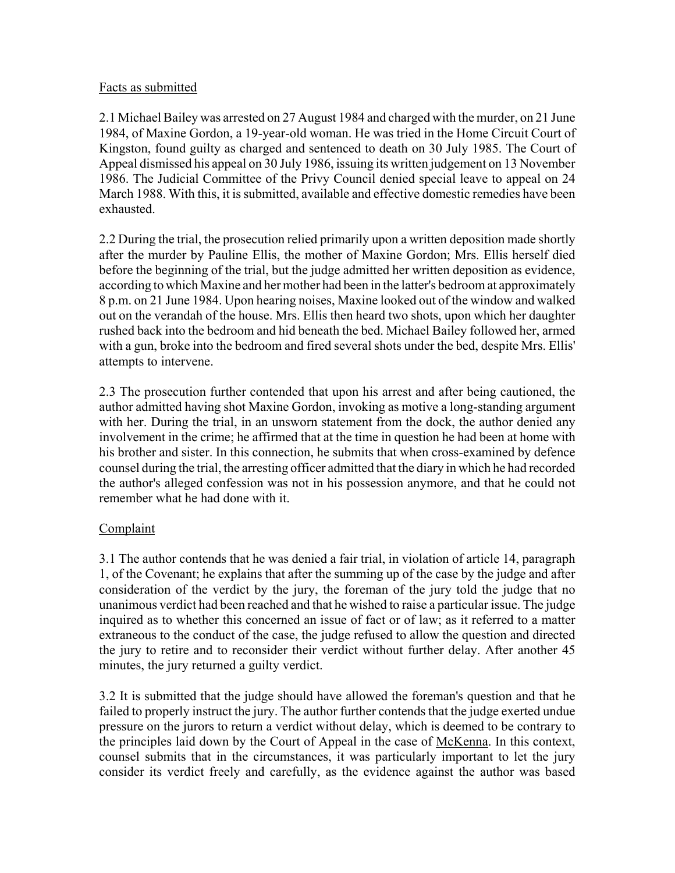### Facts as submitted

2.1 Michael Bailey was arrested on 27 August 1984 and charged with the murder, on 21 June 1984, of Maxine Gordon, a 19-year-old woman. He was tried in the Home Circuit Court of Kingston, found guilty as charged and sentenced to death on 30 July 1985. The Court of Appeal dismissed his appeal on 30 July 1986, issuing its written judgement on 13 November 1986. The Judicial Committee of the Privy Council denied special leave to appeal on 24 March 1988. With this, it is submitted, available and effective domestic remedies have been exhausted.

2.2 During the trial, the prosecution relied primarily upon a written deposition made shortly after the murder by Pauline Ellis, the mother of Maxine Gordon; Mrs. Ellis herself died before the beginning of the trial, but the judge admitted her written deposition as evidence, according to which Maxine and her mother had been in the latter's bedroom at approximately 8 p.m. on 21 June 1984. Upon hearing noises, Maxine looked out of the window and walked out on the verandah of the house. Mrs. Ellis then heard two shots, upon which her daughter rushed back into the bedroom and hid beneath the bed. Michael Bailey followed her, armed with a gun, broke into the bedroom and fired several shots under the bed, despite Mrs. Ellis' attempts to intervene.

2.3 The prosecution further contended that upon his arrest and after being cautioned, the author admitted having shot Maxine Gordon, invoking as motive a long-standing argument with her. During the trial, in an unsworn statement from the dock, the author denied any involvement in the crime; he affirmed that at the time in question he had been at home with his brother and sister. In this connection, he submits that when cross-examined by defence counsel during the trial, the arresting officer admitted that the diary in which he had recorded the author's alleged confession was not in his possession anymore, and that he could not remember what he had done with it.

# Complaint

3.1 The author contends that he was denied a fair trial, in violation of article 14, paragraph 1, of the Covenant; he explains that after the summing up of the case by the judge and after consideration of the verdict by the jury, the foreman of the jury told the judge that no unanimous verdict had been reached and that he wished to raise a particular issue. The judge inquired as to whether this concerned an issue of fact or of law; as it referred to a matter extraneous to the conduct of the case, the judge refused to allow the question and directed the jury to retire and to reconsider their verdict without further delay. After another 45 minutes, the jury returned a guilty verdict.

3.2 It is submitted that the judge should have allowed the foreman's question and that he failed to properly instruct the jury. The author further contends that the judge exerted undue pressure on the jurors to return a verdict without delay, which is deemed to be contrary to the principles laid down by the Court of Appeal in the case of McKenna. In this context, counsel submits that in the circumstances, it was particularly important to let the jury consider its verdict freely and carefully, as the evidence against the author was based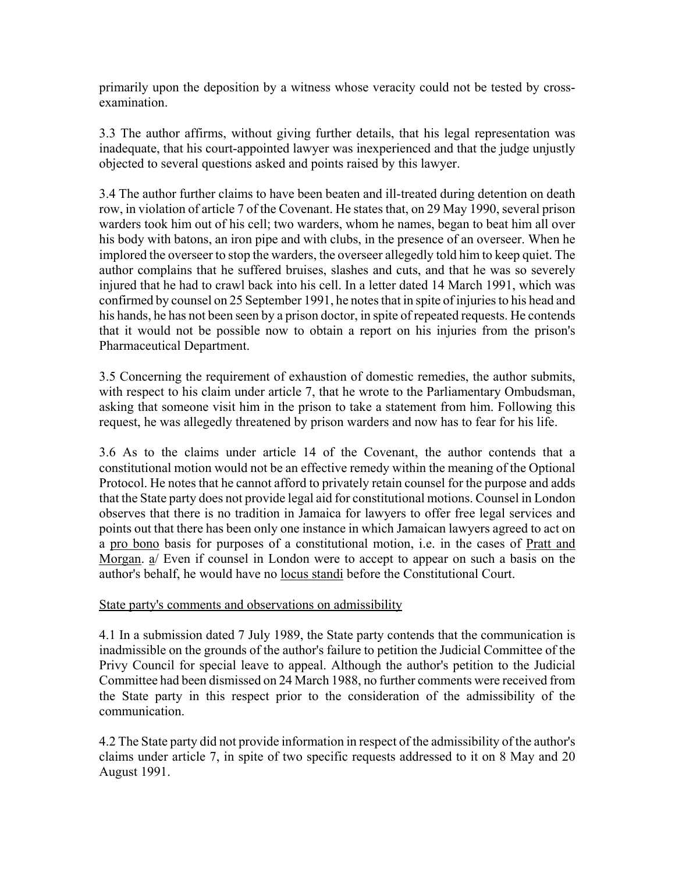primarily upon the deposition by a witness whose veracity could not be tested by crossexamination.

3.3 The author affirms, without giving further details, that his legal representation was inadequate, that his court-appointed lawyer was inexperienced and that the judge unjustly objected to several questions asked and points raised by this lawyer.

3.4 The author further claims to have been beaten and ill-treated during detention on death row, in violation of article 7 of the Covenant. He states that, on 29 May 1990, several prison warders took him out of his cell; two warders, whom he names, began to beat him all over his body with batons, an iron pipe and with clubs, in the presence of an overseer. When he implored the overseer to stop the warders, the overseer allegedly told him to keep quiet. The author complains that he suffered bruises, slashes and cuts, and that he was so severely injured that he had to crawl back into his cell. In a letter dated 14 March 1991, which was confirmed by counsel on 25 September 1991, he notes that in spite of injuries to his head and his hands, he has not been seen by a prison doctor, in spite of repeated requests. He contends that it would not be possible now to obtain a report on his injuries from the prison's Pharmaceutical Department.

3.5 Concerning the requirement of exhaustion of domestic remedies, the author submits, with respect to his claim under article 7, that he wrote to the Parliamentary Ombudsman, asking that someone visit him in the prison to take a statement from him. Following this request, he was allegedly threatened by prison warders and now has to fear for his life.

3.6 As to the claims under article 14 of the Covenant, the author contends that a constitutional motion would not be an effective remedy within the meaning of the Optional Protocol. He notes that he cannot afford to privately retain counsel for the purpose and adds that the State party does not provide legal aid for constitutional motions. Counsel in London observes that there is no tradition in Jamaica for lawyers to offer free legal services and points out that there has been only one instance in which Jamaican lawyers agreed to act on a pro bono basis for purposes of a constitutional motion, i.e. in the cases of Pratt and Morgan. a/ Even if counsel in London were to accept to appear on such a basis on the author's behalf, he would have no locus standi before the Constitutional Court.

#### State party's comments and observations on admissibility

4.1 In a submission dated 7 July 1989, the State party contends that the communication is inadmissible on the grounds of the author's failure to petition the Judicial Committee of the Privy Council for special leave to appeal. Although the author's petition to the Judicial Committee had been dismissed on 24 March 1988, no further comments were received from the State party in this respect prior to the consideration of the admissibility of the communication.

4.2 The State party did not provide information in respect of the admissibility of the author's claims under article 7, in spite of two specific requests addressed to it on 8 May and 20 August 1991.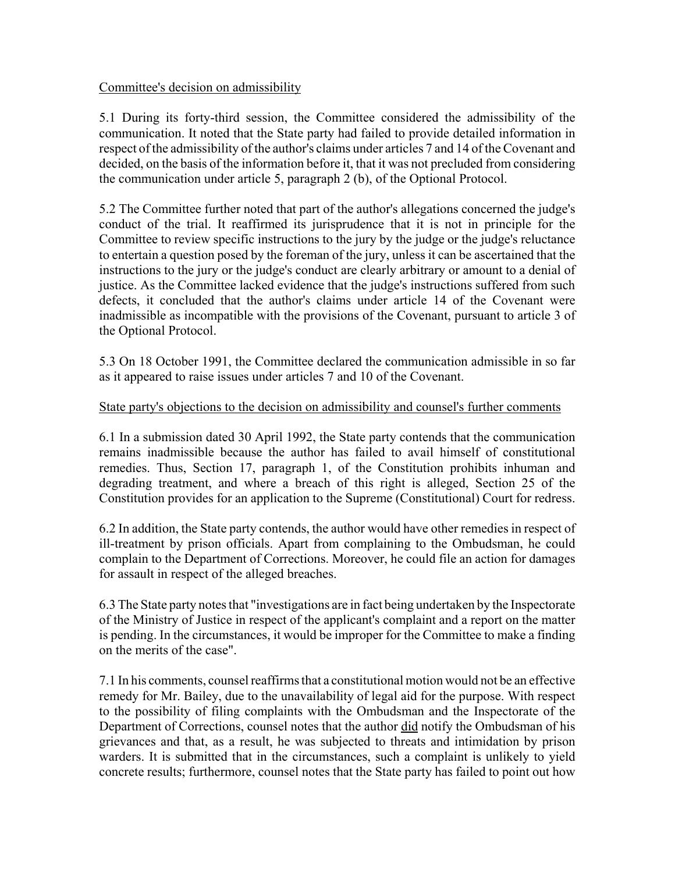## Committee's decision on admissibility

5.1 During its forty-third session, the Committee considered the admissibility of the communication. It noted that the State party had failed to provide detailed information in respect of the admissibility of the author's claims under articles 7 and 14 of the Covenant and decided, on the basis of the information before it, that it was not precluded from considering the communication under article 5, paragraph 2 (b), of the Optional Protocol.

5.2 The Committee further noted that part of the author's allegations concerned the judge's conduct of the trial. It reaffirmed its jurisprudence that it is not in principle for the Committee to review specific instructions to the jury by the judge or the judge's reluctance to entertain a question posed by the foreman of the jury, unless it can be ascertained that the instructions to the jury or the judge's conduct are clearly arbitrary or amount to a denial of justice. As the Committee lacked evidence that the judge's instructions suffered from such defects, it concluded that the author's claims under article 14 of the Covenant were inadmissible as incompatible with the provisions of the Covenant, pursuant to article 3 of the Optional Protocol.

5.3 On 18 October 1991, the Committee declared the communication admissible in so far as it appeared to raise issues under articles 7 and 10 of the Covenant.

### State party's objections to the decision on admissibility and counsel's further comments

6.1 In a submission dated 30 April 1992, the State party contends that the communication remains inadmissible because the author has failed to avail himself of constitutional remedies. Thus, Section 17, paragraph 1, of the Constitution prohibits inhuman and degrading treatment, and where a breach of this right is alleged, Section 25 of the Constitution provides for an application to the Supreme (Constitutional) Court for redress.

6.2 In addition, the State party contends, the author would have other remedies in respect of ill-treatment by prison officials. Apart from complaining to the Ombudsman, he could complain to the Department of Corrections. Moreover, he could file an action for damages for assault in respect of the alleged breaches.

6.3 The State party notes that "investigations are in fact being undertaken by the Inspectorate of the Ministry of Justice in respect of the applicant's complaint and a report on the matter is pending. In the circumstances, it would be improper for the Committee to make a finding on the merits of the case".

7.1 In his comments, counsel reaffirms that a constitutional motion would not be an effective remedy for Mr. Bailey, due to the unavailability of legal aid for the purpose. With respect to the possibility of filing complaints with the Ombudsman and the Inspectorate of the Department of Corrections, counsel notes that the author did notify the Ombudsman of his grievances and that, as a result, he was subjected to threats and intimidation by prison warders. It is submitted that in the circumstances, such a complaint is unlikely to yield concrete results; furthermore, counsel notes that the State party has failed to point out how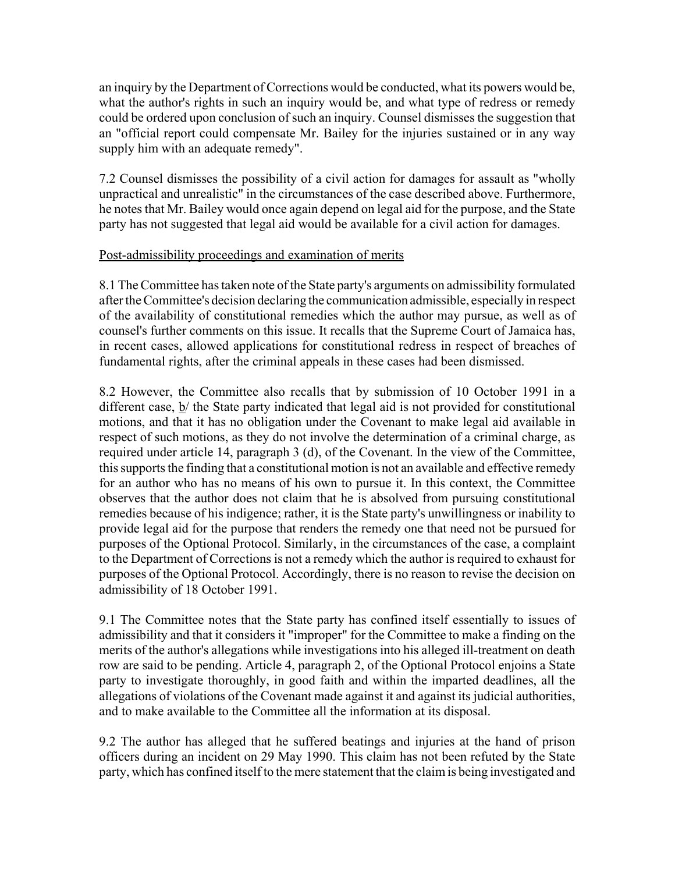an inquiry by the Department of Corrections would be conducted, what its powers would be, what the author's rights in such an inquiry would be, and what type of redress or remedy could be ordered upon conclusion of such an inquiry. Counsel dismisses the suggestion that an "official report could compensate Mr. Bailey for the injuries sustained or in any way supply him with an adequate remedy".

7.2 Counsel dismisses the possibility of a civil action for damages for assault as "wholly unpractical and unrealistic" in the circumstances of the case described above. Furthermore, he notes that Mr. Bailey would once again depend on legal aid for the purpose, and the State party has not suggested that legal aid would be available for a civil action for damages.

### Post-admissibility proceedings and examination of merits

8.1 The Committee has taken note of the State party's arguments on admissibility formulated after the Committee's decision declaring the communication admissible, especially in respect of the availability of constitutional remedies which the author may pursue, as well as of counsel's further comments on this issue. It recalls that the Supreme Court of Jamaica has, in recent cases, allowed applications for constitutional redress in respect of breaches of fundamental rights, after the criminal appeals in these cases had been dismissed.

8.2 However, the Committee also recalls that by submission of 10 October 1991 in a different case, b/ the State party indicated that legal aid is not provided for constitutional motions, and that it has no obligation under the Covenant to make legal aid available in respect of such motions, as they do not involve the determination of a criminal charge, as required under article 14, paragraph 3 (d), of the Covenant. In the view of the Committee, this supports the finding that a constitutional motion is not an available and effective remedy for an author who has no means of his own to pursue it. In this context, the Committee observes that the author does not claim that he is absolved from pursuing constitutional remedies because of his indigence; rather, it is the State party's unwillingness or inability to provide legal aid for the purpose that renders the remedy one that need not be pursued for purposes of the Optional Protocol. Similarly, in the circumstances of the case, a complaint to the Department of Corrections is not a remedy which the author is required to exhaust for purposes of the Optional Protocol. Accordingly, there is no reason to revise the decision on admissibility of 18 October 1991.

9.1 The Committee notes that the State party has confined itself essentially to issues of admissibility and that it considers it "improper" for the Committee to make a finding on the merits of the author's allegations while investigations into his alleged ill-treatment on death row are said to be pending. Article 4, paragraph 2, of the Optional Protocol enjoins a State party to investigate thoroughly, in good faith and within the imparted deadlines, all the allegations of violations of the Covenant made against it and against its judicial authorities, and to make available to the Committee all the information at its disposal.

9.2 The author has alleged that he suffered beatings and injuries at the hand of prison officers during an incident on 29 May 1990. This claim has not been refuted by the State party, which has confined itself to the mere statement that the claim is being investigated and